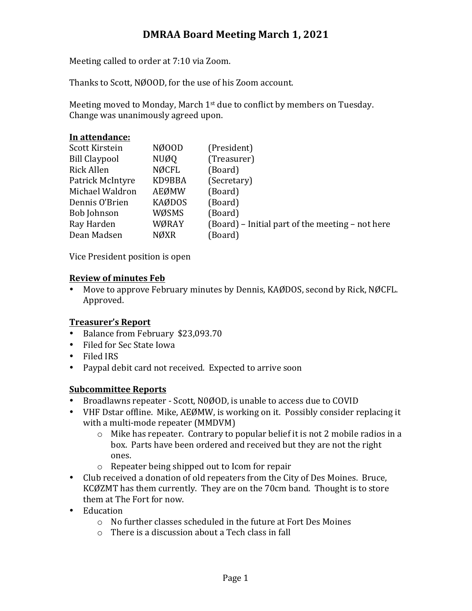# **DMRAA Board Meeting March 1, 2021**

Meeting called to order at 7:10 via Zoom.

Thanks to Scott, NØOOD, for the use of his Zoom account.

Meeting moved to Monday, March  $1<sup>st</sup>$  due to conflict by members on Tuesday. Change was unanimously agreed upon.

## In attendance:

| Scott Kirstein       | NØ00D         | (President)                                      |
|----------------------|---------------|--------------------------------------------------|
| <b>Bill Claypool</b> | NUØQ          | (Treasurer)                                      |
| <b>Rick Allen</b>    | NØCFL         | (Board)                                          |
| Patrick McIntyre     | KD9BBA        | (Secretary)                                      |
| Michael Waldron      | <b>AEØMW</b>  | (Board)                                          |
| Dennis O'Brien       | <b>KAØDOS</b> | (Board)                                          |
| <b>Bob Johnson</b>   | WØSMS         | (Board)                                          |
| Ray Harden           | WØRAY         | (Board) – Initial part of the meeting – not here |
| Dean Madsen          | NØXR          | (Board)                                          |
|                      |               |                                                  |

Vice President position is open

#### **Review of minutes Feb**

• Move to approve February minutes by Dennis, KAØDOS, second by Rick, NØCFL. Approved.

## **Treasurer's Report**

- Balance from February \$23,093.70
- Filed for Sec State Iowa
- Filed IRS
- Paypal debit card not received. Expected to arrive soon

#### **Subcommittee Reports**

- Broadlawns repeater Scott, N0ØOD, is unable to access due to COVID
- VHF Dstar offline. Mike, AEØMW, is working on it. Possibly consider replacing it with a multi-mode repeater (MMDVM)
	- $\circ$  Mike has repeater. Contrary to popular belief it is not 2 mobile radios in a box. Parts have been ordered and received but they are not the right ones.
	- $\circ$  Repeater being shipped out to Icom for repair
- Club received a donation of old repeaters from the City of Des Moines. Bruce, KCØZMT has them currently. They are on the 70cm band. Thought is to store them at The Fort for now.
- Education
	- $\circ$  No further classes scheduled in the future at Fort Des Moines
	- $\circ$  There is a discussion about a Tech class in fall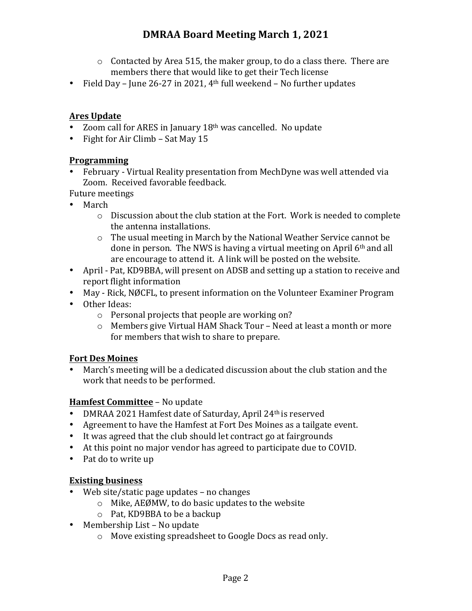- $\circ$  Contacted by Area 515, the maker group, to do a class there. There are members there that would like to get their Tech license
- Field Day June 26-27 in 2021,  $4<sup>th</sup>$  full weekend No further updates

### **Ares Update**

- Zoom call for ARES in January  $18<sup>th</sup>$  was cancelled. No update
- Fight for Air Climb Sat May 15

#### **Programming**

• February - Virtual Reality presentation from MechDyne was well attended via Zoom. Received favorable feedback.

Future meetings

- March
	- $\circ$  Discussion about the club station at the Fort. Work is needed to complete the antenna installations.
	- $\circ$  The usual meeting in March by the National Weather Service cannot be done in person. The NWS is having a virtual meeting on April 6th and all are encourage to attend it. A link will be posted on the website.
- April Pat, KD9BBA, will present on ADSB and setting up a station to receive and report flight information
- May Rick, NØCFL, to present information on the Volunteer Examiner Program
- Other Ideas:
	- $\circ$  Personal projects that people are working on?
	- $\circ$  Members give Virtual HAM Shack Tour Need at least a month or more for members that wish to share to prepare.

#### **Fort Des Moines**

• March's meeting will be a dedicated discussion about the club station and the work that needs to be performed.

#### **Hamfest Committee** - No update

- DMRAA 2021 Hamfest date of Saturday, April 24<sup>th</sup> is reserved
- Agreement to have the Hamfest at Fort Des Moines as a tailgate event.
- It was agreed that the club should let contract go at fairgrounds
- At this point no major vendor has agreed to participate due to COVID.
- Pat do to write up

## **Existing business**

- Web site/static page updates no changes
	- $\circ$  Mike, AEØMW, to do basic updates to the website
	- $\circ$  Pat, KD9BBA to be a backup
- Membership List  $-$  No update
	- $\circ$  Move existing spreadsheet to Google Docs as read only.